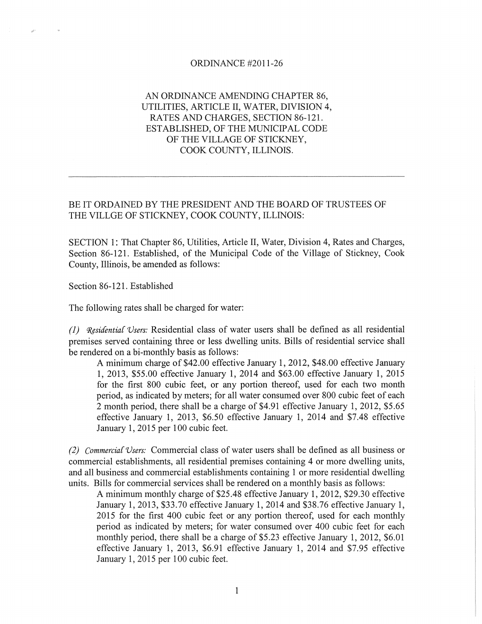## ORDINANCE #2011-26

## AN ORDINANCE AMENDING CHAPTER 86, UTILITIES, ARTICLE II, WATER, DIVISION 4, RATES AND CHARGES, SECTION 86-121. ESTABLISHED, OF THE MUNICIPAL CODE OF THE VILLAGE OF STICKNEY, COOK COUNTY, ILLINOIS.

## BE IT ORDAINED BY THE PRESIDENT AND THE BOARD OF TRUSTEES OF THE VILLGE OF STICKNEY, COOK COUNTY, ILLINOIS:

SECTION 1: That Chapter 86, Utilities, Article II, Water, Division 4, Rates and Charges, Section 86-121. Established, of the Municipal Code of the Village of Stickney, Cook County, Illinois, be amended as follows:

Section 86-121. Established

The following rates shall be charged for water:

*(1) Residential Users:* Residential class of water users shall be defined as all residential premises served containing three or less dwelling units. Bills of residential service shall be rendered on a bi-monthly basis as follows:

A minimum charge of \$42.00 effective January 1, 2012, \$48.00 effective January 1, 2013, \$55.00 effective January 1, 2014 and \$63.00 effective January 1, 2015 for the first 800 cubic feet, or any portion thereof, used for each two month period, as indicated by meters; for all water consumed over 800 cubic feet of each 2 month period, there shall be a charge of \$4.91 effective January 1, 2012, \$5.65 effective January 1, 2013, \$6.50 effective January 1, 2014 and \$7.48 effective January 1, 2015 per 100 cubic feet.

*(2) Commercia[ Vsers:* Commercial class of water users shall be defined as all business or commercial establishments, all residential premises containing 4 or more dwelling units, and all business and commercial establishments containing 1 or more residential dwelling units. Bills for commercial services shall be rendered on a monthly basis as follows:

A minimum monthly charge of \$25.48 effective January 1,2012, \$29.30 effective January 1, 2013, \$33.70 effective January 1, 2014 and \$38.76 effective January 1, 2015 for the first 400 cubic feet or any portion thereof, used for each monthly period as indicated by meters; for water consumed over 400 cubic feet for each monthly period, there shall be a charge of \$5.23 effective January 1, 2012, \$6.01 effective January 1, 2013, \$6.91 effective January 1, 2014 and \$7.95 effective January 1, 2015 per 100 cubic feet.

1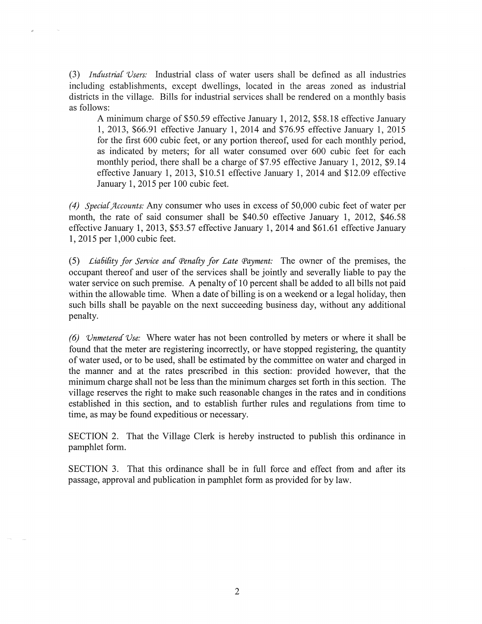(3) Industrial Users: Industrial class of water users shall be defined as all industries including establishments, except dwellings, located in the areas zoned as industrial districts in the village. Bills for industrial services shall be rendered on a monthly basis as follows:

 $\mathcal{A}$ 

A minimum charge of\$50.59 effective January 1, 2012, \$58.18 effective January 1, 2013, \$66.91 effective January 1, 2014 and \$76.95 effective January 1, 2015 for the first 600 cubic feet, or any portion thereof, used for each monthly period, as indicated by meters; for all water consumed over 600 cubic feet for each monthly period, there shall be a charge of \$7.95 effective January 1, 2012, \$9.14 effective January 1, 2013, \$10.51 effective January 1, 2014 and \$12.09 effective January 1, 2015 per 100 cubic feet.

*(4) Special Accounts:* Any consumer who uses in excess of 50,000 cubic feet of water per month, the rate of said consumer shall be \$40.50 effective January 1, 2012, \$46.58 effective January 1, 2013, \$53.57 effective January 1, 2014 and \$61.61 effective January 1,2015 per 1,000 cubic feet.

*(5) Liability for Service and Penalty for Late Payment:* The owner of the premises, the occupant thereof and user of the services shall be jointly and severally liable to pay the water service on such premise. A penalty of 10 percent shall be added to all bills not paid within the allowable time. When a date of billing is on a weekend or a legal holiday, then such bills shall be payable on the next succeeding business day, without any additional penalty.

*(6) Vnmetered'Vse:* Where water has not been controlled by meters or where it shall be found that the meter are registering incorrectly, or have stopped registering, the quantity of water used, or to be used, shall be estimated by the committee on water and charged in the manner and at the rates prescribed in this section: provided however, that the minimum charge shall not be less than the minimum charges set forth in this section. The village reserves the right to make such reasonable changes in the rates and in conditions established in this section, and to establish further rules and regulations from time to time, as may be found expeditious or necessary.

SECTION 2. That the Village Clerk is hereby instructed to publish this ordinance in pamphlet form.

SECTION 3. That this ordinance shall be in full force and effect from and after its passage, approval and publication in pamphlet form as provided for by law.